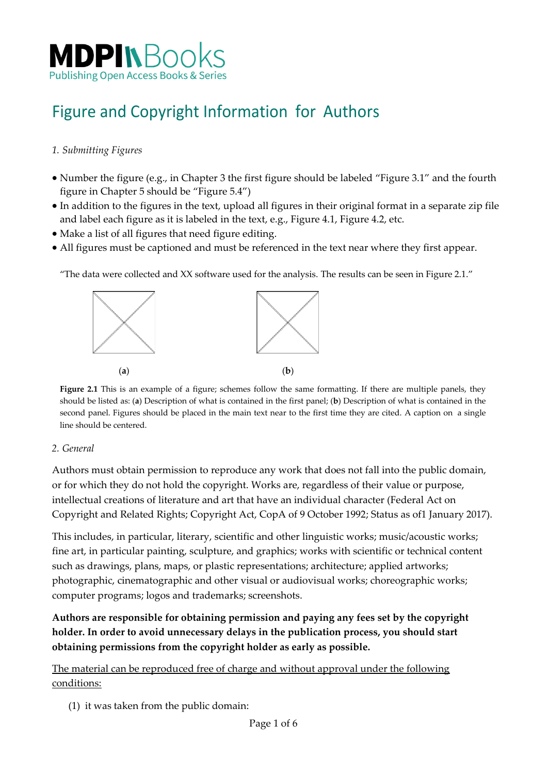

# Figure and Copyright Information for Authors

#### *1. Submitting Figures*

- Number the figure (e.g., in Chapter 3 the first figure should be labeled "Figure 3.1" and the fourth figure in Chapter 5 should be "Figure 5.4")
- In addition to the figures in the text, upload all figures in their original format in a separate zip file and label each figure as it is labeled in the text, e.g., Figure 4.1, Figure 4.2, etc.
- Make a list of all figures that need figure editing.
- All figures must be captioned and must be referenced in the text near where they first appear.

"The data were collected and XX software used for the analysis. The results can be seen in Figure 2.1."



**Figure 2.1** This is an example of a figure; schemes follow the same formatting. If there are multiple panels, they should be listed as: (**a**) Description of what is contained in the first panel; (**b**) Description of what is contained in the second panel. Figures should be placed in the main text near to the first time they are cited. A caption on a single line should be centered.

#### *2. General*

Authors must obtain permission to reproduce any work that does not fall into the public domain, or for which they do not hold the copyright. Works are, regardless of their value or purpose, intellectual creations of literature and art that have an individual character (Federal Act on Copyright and Related Rights; Copyright Act, CopA of 9 October 1992; Status as of1 January 2017).

This includes, in particular, literary, scientific and other linguistic works; music/acoustic works; fine art, in particular painting, sculpture, and graphics; works with scientific or technical content such as drawings, plans, maps, or plastic representations; architecture; applied artworks; photographic, cinematographic and other visual or audiovisual works; choreographic works; computer programs; logos and trademarks; screenshots.

**Authors are responsible for obtaining permission and paying any fees set by the copyright holder. In order to avoid unnecessary delays in the publication process, you should start obtaining permissions from the copyright holder as early as possible.**

The material can be reproduced free of charge and without approval under the following conditions:

(1) it was taken from the public domain: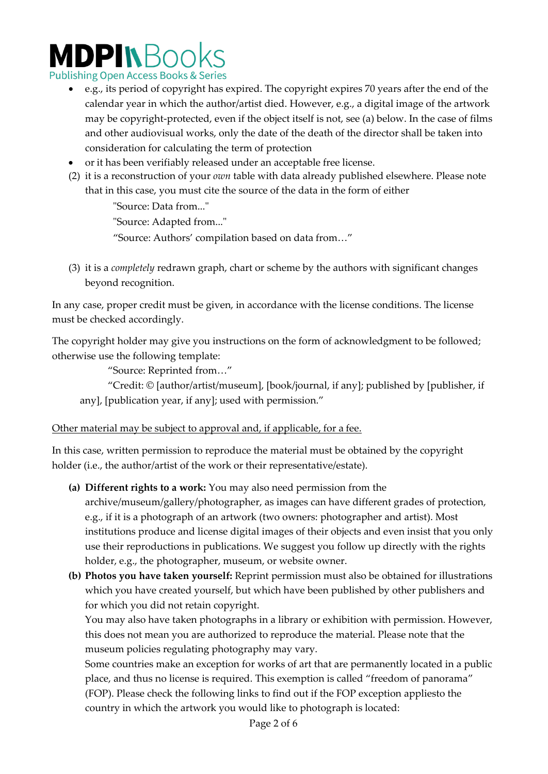# **MDPINBooks**

**Publishing Open Access Books & Series** 

- e.g., its period of copyright has expired. The copyright expires 70 years after the end of the calendar year in which the author/artist died. However, e.g., a digital image of the artwork may be copyright-protected, even if the object itself is not, see (a) below. In the case of films and other audiovisual works, only the date of the death of the director shall be taken into consideration for calculating the term of protection
- or it has been verifiably released under an acceptable free [license.](https://en.wikipedia.org/wiki/Free_license)
- (2) it is a reconstruction of your *own* table with data already published elsewhere. Please note that in this case, you must cite the source of the data in the form of either

"Source: Data from..."

"Source: Adapted from..."

"Source: Authors' compilation based on data from…"

(3) it is a *completely* redrawn graph, chart or scheme by the authors with significant changes beyond recognition.

In any case, proper credit must be given, in accordance with the license conditions. The license must be checked accordingly.

The copyright holder may give you instructions on the form of acknowledgment to be followed; otherwise use the following template:

"Source: Reprinted from…"

"Credit: © [author/artist/museum], [book/journal, if any]; published by [publisher, if any], [publication year, if any]; used with permission."

#### Other material may be subject to approval and, if applicable, for a fee.

In this case, written permission to reproduce the material must be obtained by the copyright holder (i.e., the author/artist of the work or their representative/estate).

**(a) Different rights to a work:** You may also need permission from the

archive/museum/gallery/photographer, as images can have different grades of protection, e.g., if it is a photograph of an artwork (two owners: photographer and artist). Most institutions produce and license digital images of their objects and even insist that you only use their reproductions in publications. We suggest you follow up directly with the rights holder, e.g., the photographer, museum, or website owner.

**(b) Photos you have taken yourself:** Reprint permission must also be obtained for illustrations which you have created yourself, but which have been published by other publishers and for which you did not retain copyright.

You may also have taken photographs in a library or exhibition with permission. However, this does not mean you are authorized to reproduce the material. Please note that the museum policies regulating photography may vary.

Some countries make an exception for works of art that are permanently located in a public place, and thus no license is required. This exemption is called "freedom of panorama" (FOP). Please check the following links to find out if the FOP exception appliesto the country in which the artwork you would like to photograph is located: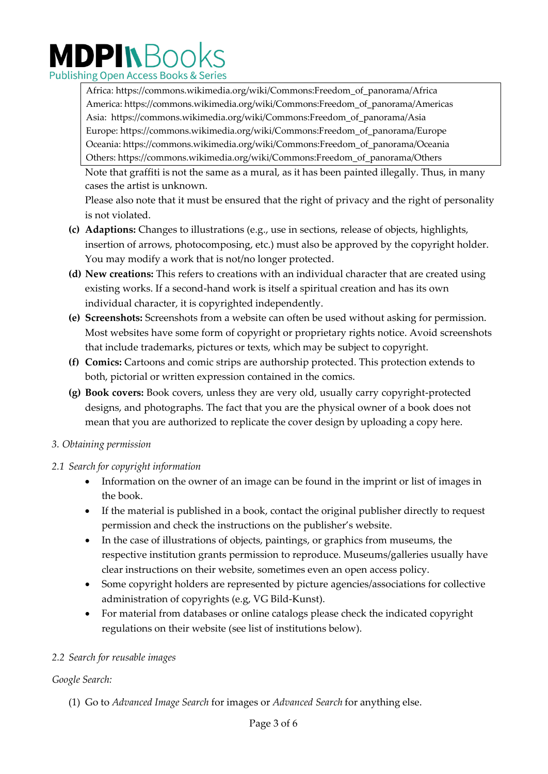# MDPINBooks **Publishing Open Access Books & Series**

Africa: https://commons.wikimedia.org/wiki/Commons:Freedom\_of\_panorama/Africa America: https://commons.wikimedia.org/wiki/Commons:Freedom\_of\_panorama/Americas Asia: https://commons.wikimedia.org/wiki/Commons:Freedom\_of\_panorama/Asia Europe: https://commons.wikimedia.org/wiki/Commons:Freedom\_of\_panorama/Europe Oceania: https://commons.wikimedia.org/wiki/Commons:Freedom\_of\_panorama/Oceania Others: https://commons.wikimedia.org/wiki/Commons:Freedom\_of\_panorama/Others

Note that graffiti is not the same as a mural, as it has been painted illegally. Thus, in many cases the artist is unknown.

Please also note that it must be ensured that the right of privacy and the right of personality is not violated.

- **(c) Adaptions:** Changes to illustrations (e.g., use in sections, release of objects, highlights, insertion of arrows, photocomposing, etc.) must also be approved by the copyright holder. You may modify a work that is not/no longer protected.
- **(d) New creations:** This refers to creations with an individual character that are created using existing works. If a second-hand work is itself a spiritual creation and has its own individual character, it is copyrighted independently.
- **(e) Screenshots:** Screenshots from a website can often be used without asking for permission. Most websites have some form of copyright or proprietary rights notice. Avoid screenshots that include trademarks, pictures or texts, which may be subject to copyright.
- **(f) Comics:** Cartoons and comic strips are authorship protected. This protection extends to both, pictorial or written expression contained in the comics.
- **(g) Book covers:** Book covers, unless they are very old, usually carry copyright-protected designs, and photographs. The fact that you are the physical owner of a book does not mean that you are authorized to replicate the cover design by uploading a copy here.

#### *3. Obtaining permission*

## *2.1 Search for copyright information*

- Information on the owner of an image can be found in the imprint or list of images in the book.
- If the material is published in a book, contact the original publisher directly to request permission and check the instructions on the publisher's website.
- In the case of illustrations of objects, paintings, or graphics from museums, the respective institution grants permission to reproduce. Museums/galleries usually have clear instructions on their website, sometimes even an open access policy.
- Some copyright holders are represented by picture agencies/associations for collective administration of copyrights (e.g, VG Bild-Kunst).
- For material from databases or online catalogs please check the indicated copyright regulations on their website (see list of institutions below).

## *2.2 Search for reusable images*

## *Google Search:*

(1) Go to *[Advanced](https://www.google.com/advanced_image_search) Image Search* for images or *[Advanced](https://www.google.com/advanced_search) Search* for anything else.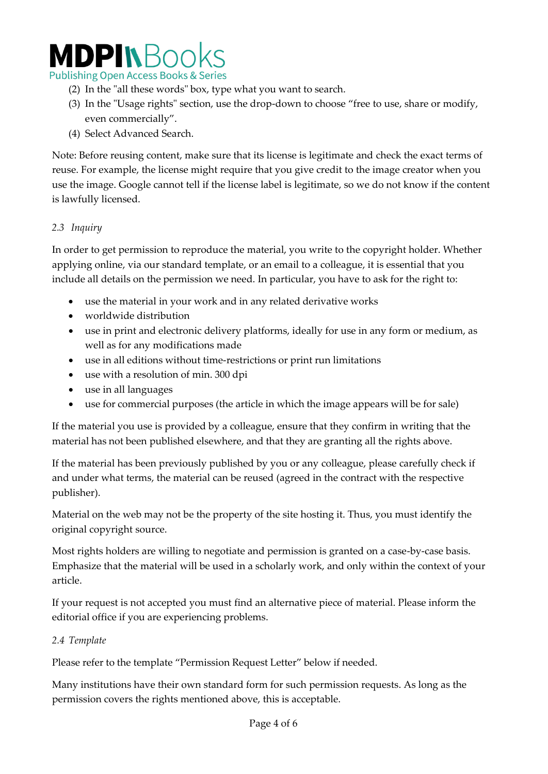# **MDPINBook**

**Publishing Open Access Books & Series** 

- (2) In the "all these words" box, type what you want to search.
- (3) In the "Usage rights" section, use the drop-down to choose "free to use, share or modify, even commercially".
- (4) Select Advanced Search.

Note: Before reusing content, make sure that its license is legitimate and check the exact terms of reuse. For example, the license might require that you give credit to the image creator when you use the image. Google cannot tell if the license label is legitimate, so we do not know if the content is lawfully licensed.

#### *2.3 Inquiry*

In order to get permission to reproduce the material, you write to the copyright holder. Whether applying online, via our standard template, or an email to a colleague, it is essential that you include all details on the permission we need. In particular, you have to ask for the right to:

- use the material in your work and in any related derivative works
- worldwide distribution
- use in print and electronic delivery platforms, ideally for use in any form or medium, as well as for any modifications made
- use in all editions without time-restrictions or print run limitations
- use with a resolution of min. 300 dpi
- use in all languages
- use for commercial purposes (the article in which the image appears will be for sale)

If the material you use is provided by a colleague, ensure that they confirm in writing that the material has not been published elsewhere, and that they are granting all the rights above.

If the material has been previously published by you or any colleague, please carefully check if and under what terms, the material can be reused (agreed in the contract with the respective publisher).

Material on the web may not be the property of the site hosting it. Thus, you must identify the original copyright source.

Most rights holders are willing to negotiate and permission is granted on a case-by-case basis. Emphasize that the material will be used in a scholarly work, and only within the context of your article.

If your request is not accepted you must find an alternative piece of material. Please inform the editorial office if you are experiencing problems.

#### *2.4 Template*

Please refer to the template "Permission Request Letter" below if needed.

Many institutions have their own standard form for such permission requests. As long as the permission covers the rights mentioned above, this is acceptable.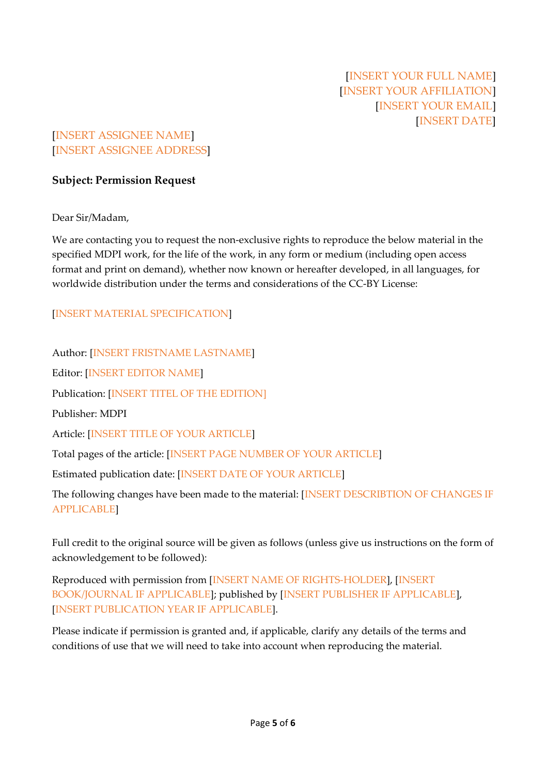## [INSERT ASSIGNEE NAME] [INSERT ASSIGNEE ADDRESS]

#### **Subject: Permission Request**

Dear Sir/Madam,

We are contacting you to request the non-exclusive rights to reproduce the below material in the specified MDPI work, for the life of the work, in any form or medium (including open access format and print on demand), whether now known or hereafter developed, in all languages, for worldwide distribution under the terms and considerations of the CC-BY License:

#### [INSERT MATERIAL SPECIFICATION]

Author: [INSERT FRISTNAME LASTNAME] Editor: [INSERT EDITOR NAME] Publication: [INSERT TITEL OF THE EDITION] Publisher: MDPI Article: [INSERT TITLE OF YOUR ARTICLE] Total pages of the article: [INSERT PAGE NUMBER OF YOUR ARTICLE] Estimated publication date: [INSERT DATE OF YOUR ARTICLE] The following changes have been made to the material: [INSERT DESCRIBTION OF CHANGES IF APPLICABLE]

Full credit to the original source will be given as follows (unless give us instructions on the form of acknowledgement to be followed):

Reproduced with permission from [INSERT NAME OF RIGHTS-HOLDER], [INSERT BOOK/JOURNAL IF APPLICABLE]; published by [INSERT PUBLISHER IF APPLICABLE], [INSERT PUBLICATION YEAR IF APPLICABLE].

Please indicate if permission is granted and, if applicable, clarify any details of the terms and conditions of use that we will need to take into account when reproducing the material.